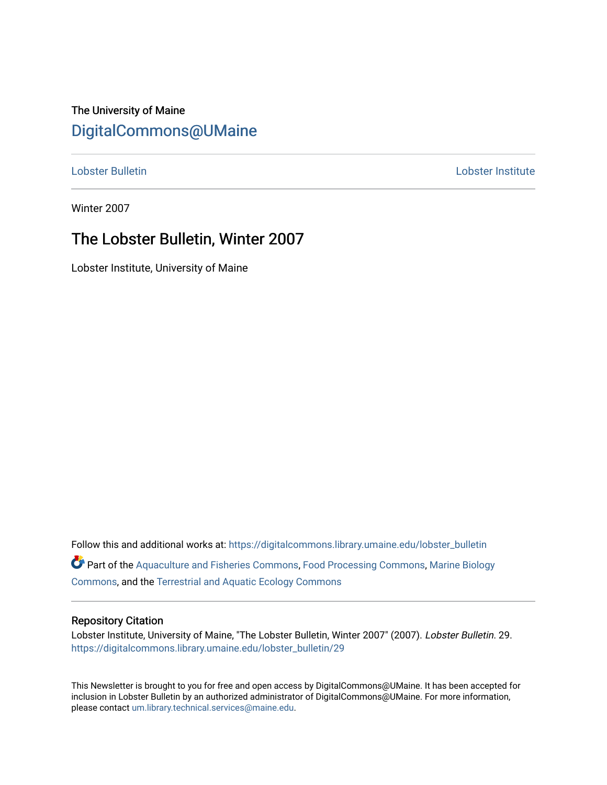### The University of Maine [DigitalCommons@UMaine](https://digitalcommons.library.umaine.edu/)

[Lobster Bulletin](https://digitalcommons.library.umaine.edu/lobster_bulletin) [Lobster Institute](https://digitalcommons.library.umaine.edu/lobster) 

Winter 2007

### The Lobster Bulletin, Winter 2007

Lobster Institute, University of Maine

Follow this and additional works at: [https://digitalcommons.library.umaine.edu/lobster\\_bulletin](https://digitalcommons.library.umaine.edu/lobster_bulletin?utm_source=digitalcommons.library.umaine.edu%2Flobster_bulletin%2F29&utm_medium=PDF&utm_campaign=PDFCoverPages) Part of the [Aquaculture and Fisheries Commons](http://network.bepress.com/hgg/discipline/78?utm_source=digitalcommons.library.umaine.edu%2Flobster_bulletin%2F29&utm_medium=PDF&utm_campaign=PDFCoverPages), [Food Processing Commons,](http://network.bepress.com/hgg/discipline/85?utm_source=digitalcommons.library.umaine.edu%2Flobster_bulletin%2F29&utm_medium=PDF&utm_campaign=PDFCoverPages) [Marine Biology](http://network.bepress.com/hgg/discipline/1126?utm_source=digitalcommons.library.umaine.edu%2Flobster_bulletin%2F29&utm_medium=PDF&utm_campaign=PDFCoverPages) [Commons](http://network.bepress.com/hgg/discipline/1126?utm_source=digitalcommons.library.umaine.edu%2Flobster_bulletin%2F29&utm_medium=PDF&utm_campaign=PDFCoverPages), and the [Terrestrial and Aquatic Ecology Commons](http://network.bepress.com/hgg/discipline/20?utm_source=digitalcommons.library.umaine.edu%2Flobster_bulletin%2F29&utm_medium=PDF&utm_campaign=PDFCoverPages) 

#### Repository Citation

Lobster Institute, University of Maine, "The Lobster Bulletin, Winter 2007" (2007). Lobster Bulletin. 29. [https://digitalcommons.library.umaine.edu/lobster\\_bulletin/29](https://digitalcommons.library.umaine.edu/lobster_bulletin/29?utm_source=digitalcommons.library.umaine.edu%2Flobster_bulletin%2F29&utm_medium=PDF&utm_campaign=PDFCoverPages) 

This Newsletter is brought to you for free and open access by DigitalCommons@UMaine. It has been accepted for inclusion in Lobster Bulletin by an authorized administrator of DigitalCommons@UMaine. For more information, please contact [um.library.technical.services@maine.edu.](mailto:um.library.technical.services@maine.edu)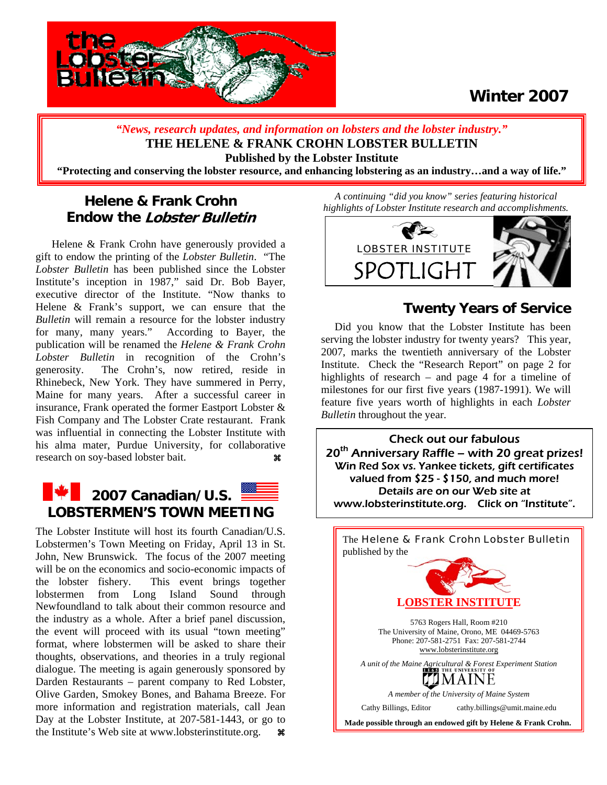

### **Winter 2007**

*"News, research updates, and information on lobsters and the lobster industry."* **THE HELENE & FRANK CROHN LOBSTER BULLETIN Published by the Lobster Institute "Protecting and conserving the lobster resource, and enhancing lobstering as an industry…and a way of life."** 

### **Helene & Frank Crohn Endow the Lobster Bulletin**

Helene & Frank Crohn have generously provided a gift to endow the printing of the *Lobster Bulletin*. "The *Lobster Bulletin* has been published since the Lobster Institute's inception in 1987," said Dr. Bob Bayer, executive director of the Institute. "Now thanks to Helene & Frank's support, we can ensure that the *Bulletin* will remain a resource for the lobster industry for many, many years." According to Bayer, the publication will be renamed the *Helene & Frank Crohn Lobster Bulletin* in recognition of the Crohn's generosity. The Crohn's, now retired, reside in Rhinebeck, New York. They have summered in Perry, Maine for many years. After a successful career in insurance, Frank operated the former Eastport Lobster & Fish Company and The Lobster Crate restaurant. Frank was influential in connecting the Lobster Institute with his alma mater, Purdue University, for collaborative research on soy-based lobster bait. **a** 

# **2007 Canadian/U.S. 2007 Canadian/U.S.** 2007 Canadian/U.S. 2008

The Lobster Institute will host its fourth Canadian/U.S. Lobstermen's Town Meeting on Friday, April 13 in St. John, New Brunswick. The focus of the 2007 meeting will be on the economics and socio-economic impacts of the lobster fishery. This event brings together lobstermen from Long Island Sound through Newfoundland to talk about their common resource and the industry as a whole. After a brief panel discussion, the event will proceed with its usual "town meeting" format, where lobstermen will be asked to share their thoughts, observations, and theories in a truly regional dialogue. The meeting is again generously sponsored by Darden Restaurants – parent company to Red Lobster, Olive Garden, Smokey Bones, and Bahama Breeze. For more information and registration materials, call Jean Day at the Lobster Institute, at 207-581-1443, or go to the Institute's Web site at [www.lobsterinstitute.org.](http://www.lobsterinstitute.org/)  $\bullet$ 

*A continuing "did you know" series featuring historical highlights of Lobster Institute research and accomplishments.* 



### **Twenty Years of Service**

 Did you know that the Lobster Institute has been serving the lobster industry for twenty years? This year, 2007, marks the twentieth anniversary of the Lobster Institute. Check the "Research Report" on page 2 for highlights of research – and page 4 for a timeline of milestones for our first five years (1987-1991). We will feature five years worth of highlights in each *Lobster Bulletin* throughout the year.

Check out our fabulous<br>20<sup>th</sup> Anniversary Raffle – with 20 great prizes! Win Red Sox vs. Yankee tickets, gift certificates valued from \$25 - \$150, and much more! Details are on our Web site at [www.lobsterinstitute.org.](http://www.lobsterinstitute.org/) Click on "Institute".

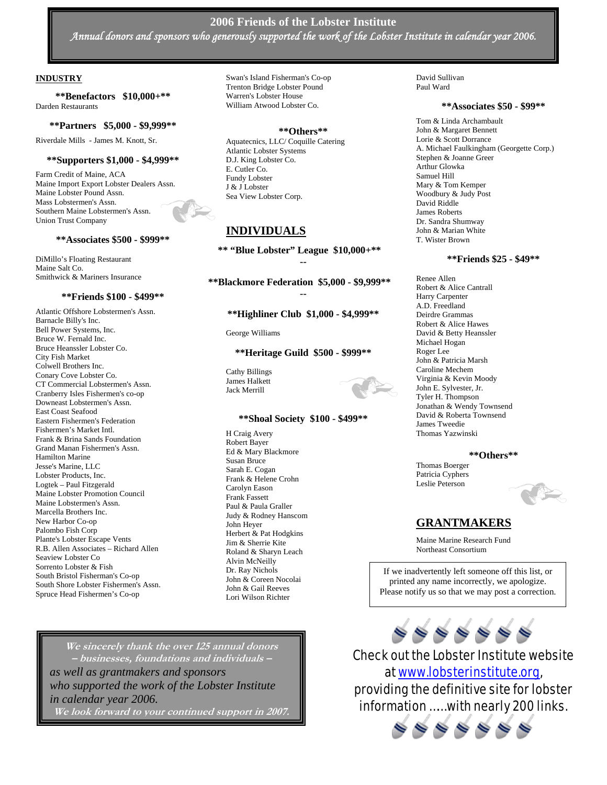#### **2006 Friends of the Lobster Institute**  *Annual donors and sponsors who generously supported the work of the Lobster Institute in calendar year 2006.*

#### **INDUSTRY**

**\*\*Benefactors \$10,000+\*\*** Darden Restaurants

#### **\*\*Partners \$5,000 - \$9,999\*\***

Riverdale Mills - James M. Knott, Sr.

#### **\*\*Supporters \$1,000 - \$4,999\*\***

Farm Credit of Maine, ACA Maine Import Export Lobster Dealers Assn. Maine Lobster Pound Assn. Mass Lobstermen's Assn. Southern Maine Lobstermen's Assn. Union Trust Company

#### **\*\*Associates \$500 - \$999\*\***

DiMillo's Floating Restaurant Maine Salt Co. Smithwick & Mariners Insurance

#### **\*\*Friends \$100 - \$499\*\***

Atlantic Offshore Lobstermen's Assn. Barnacle Billy's Inc. Bell Power Systems, Inc. Bruce W. Fernald Inc. Bruce Heanssler Lobster Co. City Fish Market Colwell Brothers Inc. Conary Cove Lobster Co. CT Commercial Lobstermen's Assn. Cranberry Isles Fishermen's co-op Downeast Lobstermen's Assn. East Coast Seafood Eastern Fishermen's Federation Fishermen's Market Intl. Frank & Brina Sands Foundation Grand Manan Fishermen's Assn. Hamilton Marine Jesse's Marine, LLC Lobster Products, Inc. Logtek – Paul Fitzgerald Maine Lobster Promotion Council Maine Lobstermen's Assn. Marcella Brothers Inc. New Harbor Co-op Palombo Fish Corp Plante's Lobster Escape Vents R.B. Allen Associates – Richard Allen Seaview Lobster Co Sorrento Lobster & Fish South Bristol Fisherman's Co-op South Shore Lobster Fishermen's Assn. Spruce Head Fishermen's Co-op

Swan's Island Fisherman's Co-op Trenton Bridge Lobster Pound Warren's Lobster House William Atwood Lobster Co.

#### **\*\*Others\*\***

Aquatecnics, LLC/ Coquille Catering Atlantic Lobster Systems D.J. King Lobster Co. E. Cutler Co. Fundy Lobster J & J Lobster Sea View Lobster Corp.

#### **INDIVIDUALS**

**\*\* "Blue Lobster" League \$10,000+\*\* --** 

**\*\*Blackmore Federation \$5,000 - \$9,999\*\* --** 

**\*\*Highliner Club \$1,000 - \$4,999\*\*** 

George Williams

**\*\*Heritage Guild \$500 - \$999\*\*** 

Cathy Billings James Halkett Jack Merrill



H Craig Avery Robert Bayer Ed & Mary Blackmore Susan Bruce Sarah E. Cogan Frank & Helene Crohn Carolyn Eason Frank Fassett Paul & Paula Graller Judy & Rodney Hanscom John Heyer Herbert & Pat Hodgkins Jim & Sherrie Kite Roland & Sharyn Leach Alvin McNeilly Dr. Ray Nichols John & Coreen Nocolai John & Gail Reeves Lori Wilson Richter

David Sullivan Paul Ward

#### **\*\*Associates \$50 - \$99\*\***

Tom & Linda Archambault John & Margaret Bennett Lorie & Scott Dorrance A. Michael Faulkingham (Georgette Corp.) Stephen & Joanne Greer Arthur Glowka Samuel Hill Mary & Tom Kemper Woodbury & Judy Post David Riddle James Roberts Dr. Sandra Shumway John & Marian White T. Wister Brown

#### **\*\*Friends \$25 - \$49\*\***

Renee Allen Robert & Alice Cantrall Harry Carpenter A.D. Freedland Deirdre Grammas Robert & Alice Hawes David & Betty Heanssler Michael Hogan Roger Lee John & Patricia Marsh Caroline Mechem Virginia & Kevin Moody John E. Sylvester, Jr. Tyler H. Thompson Jonathan & Wendy Townsend David & Roberta Townsend James Tweedie Thomas Yazwinski

#### **\*\*Others\*\***

Thomas Boerger Patricia Cyphers Leslie Peterson



#### **GRANTMAKERS**

Maine Marine Research Fund Northeast Consortium

If we inadvertently left someone off this list, or printed any name incorrectly, we apologize. Please notify us so that we may post a correction.





Check out the Lobster Institute website at [www.lobsterinstitute.org,](http://www.lobsterinstitute.org/) providing the definitive site for lobster information …… with nearly 200 links.

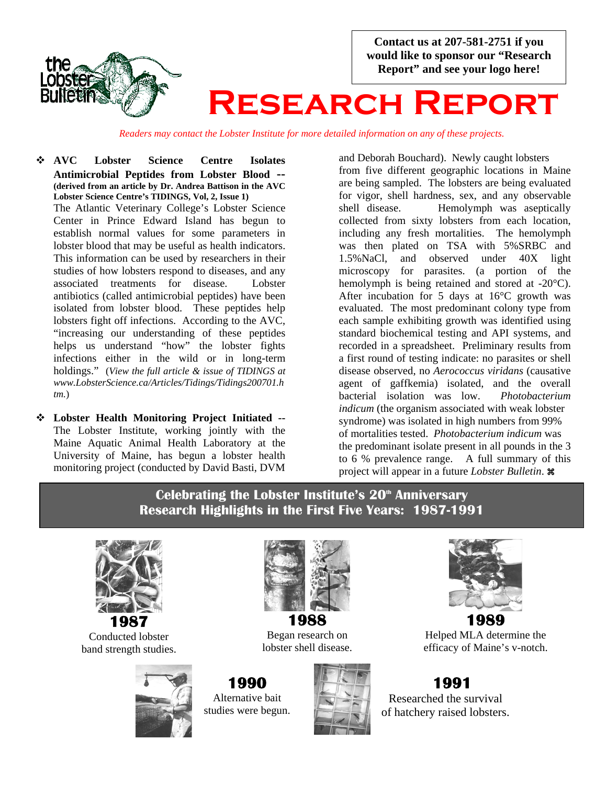the **ODSTO** 

**Contact us at 207-581-2751 if you would like to sponsor our "Research Report" and see your logo here!** 

# **Research Report**

*Readers may contact the Lobster Institute for more detailed information on any of these projects.*

- **AVC Lobster Science Centre Isolates Antimicrobial Peptides from Lobster Blood -- (derived from an article by Dr. Andrea Battison in the AVC Lobster Science Centre's TIDINGS, Vol, 2, Issue 1)** The Atlantic Veterinary College's Lobster Science Center in Prince Edward Island has begun to establish normal values for some parameters in lobster blood that may be useful as health indicators. This information can be used by researchers in their studies of how lobsters respond to diseases, and any associated treatments for disease. Lobster antibiotics (called antimicrobial peptides) have been isolated from lobster blood. These peptides help lobsters fight off infections. According to the AVC, "increasing our understanding of these peptides helps us understand "how" the lobster fights infections either in the wild or in long-term holdings." (*View the full article & issue of TIDINGS at [www.LobsterScience.ca/Articles/Tidings/Tidings200701.h](http://www.lobsterscience.ca/Articles/Tidings/Tidings200701/htm) [tm](http://www.lobsterscience.ca/Articles/Tidings/Tidings200701/htm).*)
- **Lobster Health Monitoring Project Initiated --**  The Lobster Institute, working jointly with the Maine Aquatic Animal Health Laboratory at the University of Maine, has begun a lobster health monitoring project (conducted by David Basti, DVM

and Deborah Bouchard). Newly caught lobsters from five different geographic locations in Maine are being sampled. The lobsters are being evaluated for vigor, shell hardness, sex, and any observable shell disease. Hemolymph was aseptically collected from sixty lobsters from each location, including any fresh mortalities. The hemolymph was then plated on TSA with 5%SRBC and 1.5%NaCl, and observed under 40X light microscopy for parasites. (a portion of the hemolymph is being retained and stored at -20°C). After incubation for 5 days at 16°C growth was evaluated. The most predominant colony type from each sample exhibiting growth was identified using standard biochemical testing and API systems, and recorded in a spreadsheet. Preliminary results from a first round of testing indicate: no parasites or shell disease observed, no *Aerococcus viridans* (causative agent of gaffkemia) isolated, and the overall bacterial isolation was low.*Photobacterium indicum* (the organism associated with weak lobster syndrome) was isolated in high numbers from 99% of mortalities tested. *Photobacterium indicum* was the predominant isolate present in all pounds in the 3 to 6 % prevalence range.A full summary of this project will appear in a future *Lobster Bulletin*. a

#### i Celebrating the Lobster Institute's 20<sup>th</sup> Anniversary **Research Highlights in the First Five Years: 1987-1991**



Conducted lobster band strength studies.





Began research on lobster shell disease.







Helped MLA determine the efficacy of Maine's v-notch.

### **1991**  Researched the survival of hatchery raised lobsters.